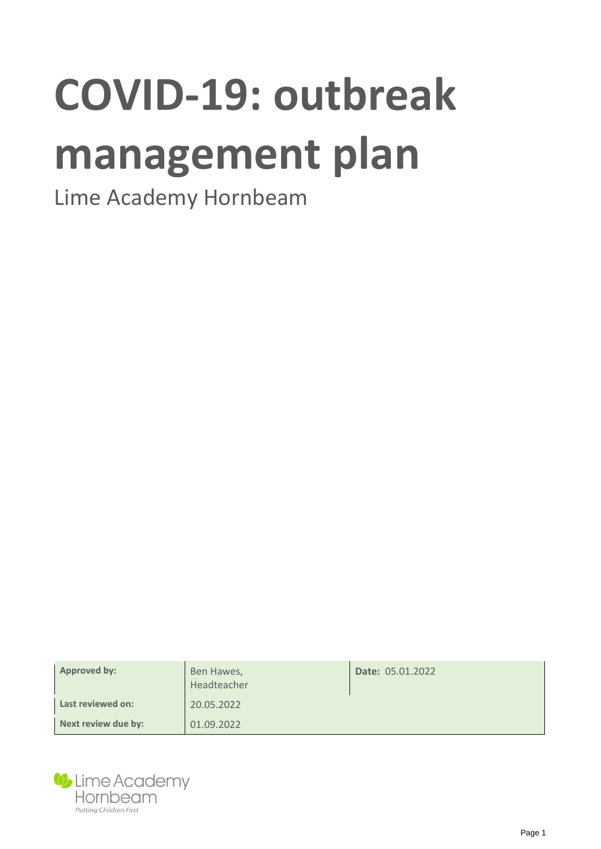# **COVID-19: outbreak management plan**

## Lime Academy Hornbeam

| Approved by:        | Ben Hawes,<br>Headteacher | <b>Date: 05.01.2022</b> |
|---------------------|---------------------------|-------------------------|
| Last reviewed on:   | 20.05.2022                |                         |
| Next review due by: | 01.09.2022                |                         |

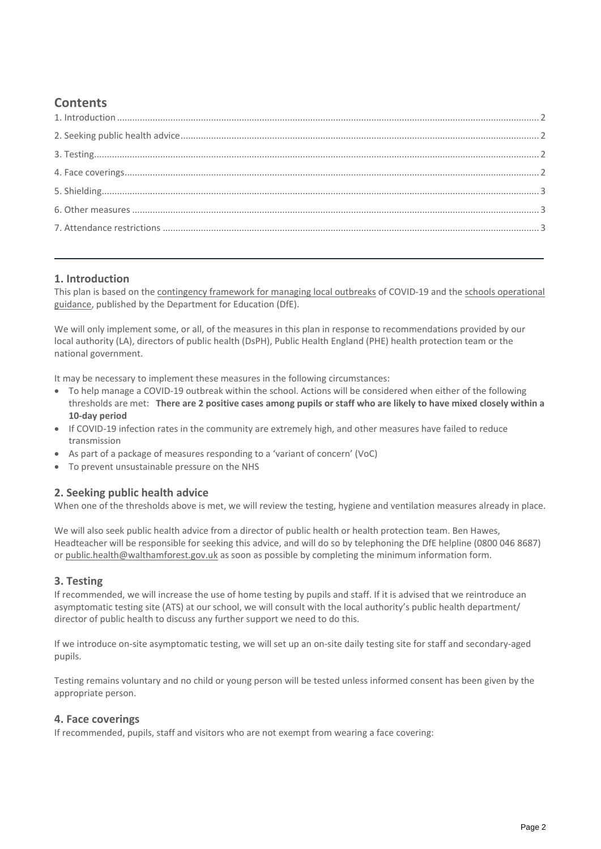### **Contents**

#### <span id="page-1-0"></span>**1. Introduction**

This plan is based on the [contingency framework for managing local outbreaks](https://www.gov.uk/government/publications/coronavirus-covid-19-local-restrictions-in-education-and-childcare-settings) of COVID-19 and th[e schools operational](https://www.gov.uk/government/publications/actions-for-schools-during-the-coronavirus-outbreak)  [guidance,](https://www.gov.uk/government/publications/actions-for-schools-during-the-coronavirus-outbreak) published by the Department for Education (DfE).

We will only implement some, or all, of the measures in this plan in response to recommendations provided by our local authority (LA), directors of public health (DsPH), Public Health England (PHE) health protection team or the national government.

It may be necessary to implement these measures in the following circumstances:

- To help manage a COVID-19 outbreak within the school. Actions will be considered when either of the following thresholds are met: **There are 2 positive cases among pupils or staff who are likely to have mixed closely within a 10-day period**
- If COVID-19 infection rates in the community are extremely high, and other measures have failed to reduce transmission
- As part of a package of measures responding to a 'variant of concern' (VoC)
- To prevent unsustainable pressure on the NHS

#### <span id="page-1-1"></span>**2. Seeking public health advice**

When one of the thresholds above is met, we will review the testing, hygiene and ventilation measures already in place.

We will also seek public health advice from a director of public health or health protection team. Ben Hawes, Headteacher will be responsible for seeking this advice, and will do so by telephoning the DfE helpline (0800 046 8687) or [public.health@walthamforest.gov.uk](mailto:public.health@walthamforest.gov.uk) as soon as possible by completing the minimum information form.

#### <span id="page-1-2"></span>**3. Testing**

If recommended, we will increase the use of home testing by pupils and staff. If it is advised that we reintroduce an asymptomatic testing site (ATS) at our school, we will consult with the local authority's public health department/ director of public health to discuss any further support we need to do this.

If we introduce on-site asymptomatic testing, we will set up an on-site daily testing site for staff and secondary-aged pupils.

Testing remains voluntary and no child or young person will be tested unless informed consent has been given by the appropriate person.

#### <span id="page-1-3"></span>**4. Face coverings**

If recommended, pupils, staff and visitors who are not exempt from wearing a face covering: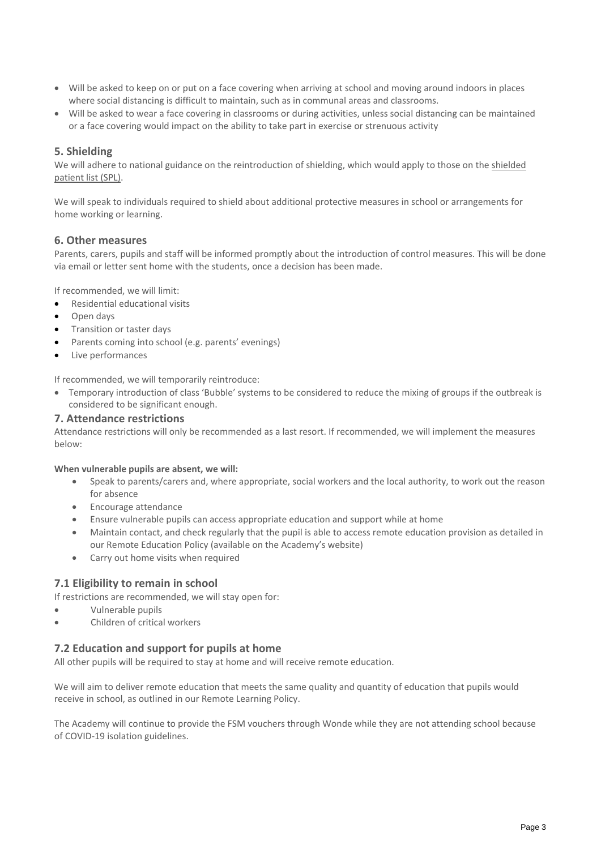- Will be asked to keep on or put on a face covering when arriving at school and moving around indoors in places where social distancing is difficult to maintain, such as in communal areas and classrooms.
- Will be asked to wear a face covering in classrooms or during activities, unless social distancing can be maintained or a face covering would impact on the ability to take part in exercise or strenuous activity

#### <span id="page-2-0"></span>**5. Shielding**

We will adhere to national guidance on the reintroduction of shielding, which would apply to those on the [shielded](https://digital.nhs.uk/coronavirus/shielded-patient-list) [patient list \(SPL\).](https://digital.nhs.uk/coronavirus/shielded-patient-list)

We will speak to individuals required to shield about additional protective measures in school or arrangements for home working or learning.

#### <span id="page-2-1"></span>**6. Other measures**

Parents, carers, pupils and staff will be informed promptly about the introduction of control measures. This will be done via email or letter sent home with the students, once a decision has been made.

If recommended, we will limit:

- Residential educational visits
- Open days
- Transition or taster days
- Parents coming into school (e.g. parents' evenings)
- Live performances

If recommended, we will temporarily reintroduce:

 Temporary introduction of class 'Bubble' systems to be considered to reduce the mixing of groups if the outbreak is considered to be significant enough.

#### <span id="page-2-2"></span>**7. Attendance restrictions**

Attendance restrictions will only be recommended as a last resort. If recommended, we will implement the measures below:

**When vulnerable pupils are absent, we will:**

- Speak to parents/carers and, where appropriate, social workers and the local authority, to work out the reason for absence
- Encourage attendance
- Ensure vulnerable pupils can access appropriate education and support while at home
- Maintain contact, and check regularly that the pupil is able to access remote education provision as detailed in our Remote Education Policy (available on the Academy's website)
- Carry out home visits when required

#### **7.1 Eligibility to remain in school**

If restrictions are recommended, we will stay open for:

- Vulnerable pupils
- Children of critical workers

#### **7.2 Education and support for pupils at home**

All other pupils will be required to stay at home and will receive remote education.

We will aim to deliver remote education that meets the same quality and quantity of education that pupils would receive in school, as outlined in our Remote Learning Policy.

The Academy will continue to provide the FSM vouchers through Wonde while they are not attending school because of COVID-19 isolation guidelines.